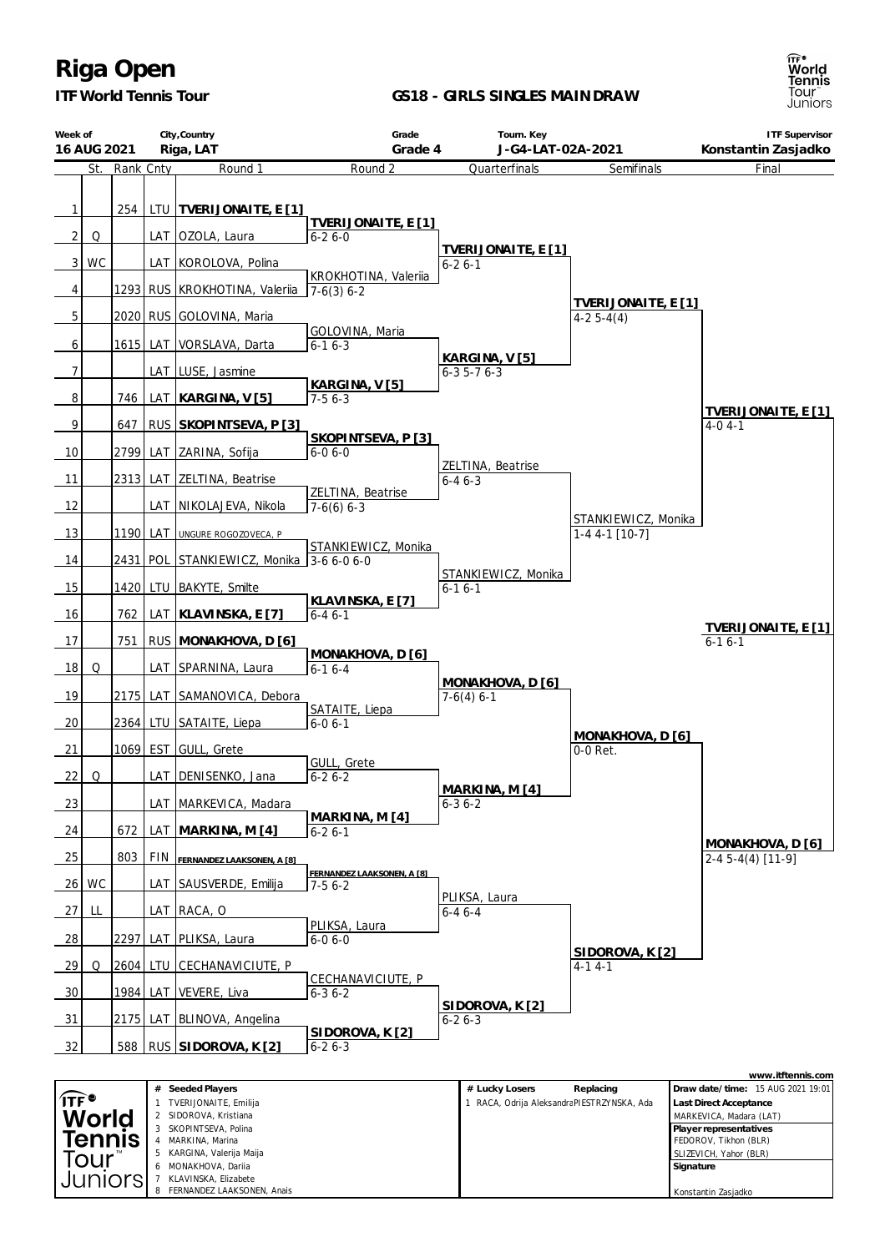

4 MARKINA, Marina<br>5 KARGINA Valeriia 5 KARGINA, Valerija Maija 6 MONAKHOVA, Dariia 7 KLAVINSKA, Elizabete FERNANDEZ LAAKSONEN, Anais

Tennis Tour Juniors **GS18 - GIRLS SINGLES MAINDRAW**



FEDOROV, Tikhon (BLR) SLIZEVICH, Yahor (BLR) **Signature**

Konstantin Zasjadko

**City,Country Grade Tourn. Key ITF Supervisor Week of 16 AUG 2021 Riga, LAT Grade 4 J-G4-LAT-02A-2021 Konstantin Zasjadko** St. Rank Cnty Round 1 **Quarterfinals** Final Round 2 **Semifinals** 1 254 LTU **TVERIJONAITE, E [1] TVERIJONAITE, E [1]**  $2Q$   $\Box$  LAT OZOLA, Laura 6-2 6-0 **TVERIJONAITE, E [1]** 3 | WC | | LAT | KOROLOVA, Polina 6-2 6-1 KROKHOTINA, Valeriia 4 | | 1293 RUS KROKHOTINA, Valeriia 7-6(3) 6-2 **TVERIJONAITE, E [1]** 5 2020 RUS GOLOVINA, Maria  $4-25-4(4)$ GOLOVINA, Maria 6 1615 LAT VORSLAVA, Darta 6-1 6-3 **KARGINA, V [5]** 7 | | | LAT LUSE, Jasmine 6-3 5-7 6-3 **KARGINA, V [5]** 8 746 LAT **KARGINA, V [5]** 7-5 6-3 **TVERIJONAITE, E [1]** 9 647 RUS **SKOPINTSEVA, P [3]** 4-0 4-1 **SKOPINTSEVA, P [3]** 10 | 2799 LAT ZARINA, Sofija  $6 - 06 - 0$ ZELTINA, Beatrise 11 | 2313 LAT ZELTINA, Beatrise 6-4 6-3 ZELTINA, Beatrise 12 | LAT NIKOLAJEVA, Nikola 7-6(6) 6-3 STANKIEWICZ, Monika 13 1190 LAT UNGURE ROGOZOVECA, P 1-4 4-1 [10-7] STANKIEWICZ, Monika 14 2431 POL STANKIEWICZ, Monika 3-6 6-0 6-0 STANKIEWICZ, Monika 15 | 1420 LTU BAKYTE, Smilte 6-1 6-1 **KLAVINSKA, E [7]** 16 762 LAT **KLAVINSKA, E [7]** 6-4 6-1 **TVERIJONAITE, E [1]** 17 751 RUS **MONAKHOVA, D [6]**  $6-16-1$ **MONAKHOVA, D [6]** 18 Q | LAT SPARNINA, Laura 6-1 6-4 **MONAKHOVA, D [6]** 19 | 2175 LAT SAMANOVICA, Debora 7-6(4) 6-1 SATAITE, Liepa  $20$  |  $2364$  LTU SATAITE, Liepa 6-0 6-1 **MONAKHOVA, D [6]** 21 1069 EST GULL, Grete 0-0 Ret. GULL, Grete 22 Q | LAT DENISENKO, Jana  $6 - 26 - 2$ **MARKINA, M [4]** 23 | | | | LAT | MARKEVICA, Madara 6-3 6-2 **MARKINA, M [4]** 24 672 LAT **MARKINA, M [4]** 6-2 6-1 **MONAKHOVA, D [6]** 25 803 FIN **FERNANDEZ LAAKSONEN, <sup>A</sup> [8]** 2-4 5-4(4) [11-9] **FERNANDEZ LAAKSONEN, A [8]** 26 WC | LAT SAUSVERDE, Emilija 7-5 6-2 PLIKSA, Laura 27 LL  $\vert$  LAT RACA, O 6-4 6-4 PLIKSA, Laura 28 2297 LAT PLIKSA, Laura  $6 - 06 - 0$ **SIDOROVA, K [2]** 29 Q 2604 LTU CECHANAVICIUTE, P  $4 - 14 - 1$ CECHANAVICIUTE, P 30 | 1984 | LAT | VEVERE, Liva 6-3 6-2 **SIDOROVA, K [2]** 31 | 2175 LAT BLINOVA, Angelina 6-2 6-3 **SIDOROVA, K [2]** 32 588 RUS **SIDOROVA, K [2]**  $6 - 26 - 3$ **www.itftennis.com # Seeded Players # Lucky Losers Replacing Draw date/time:** 15 AUG 2021 19:01  $\widehat{\mathsf{IF}^{\bullet}}$ 1 TVERIJONAITE, Emilija 1 RACA, Odrija AleksandraPIESTRZYNSKA, Ada **Last Direct Acceptance** SIDOROVA, Kristiana MARKEVICA, Madara (LAT) World 3 SKOPINTSEVA, Polina **Player representatives**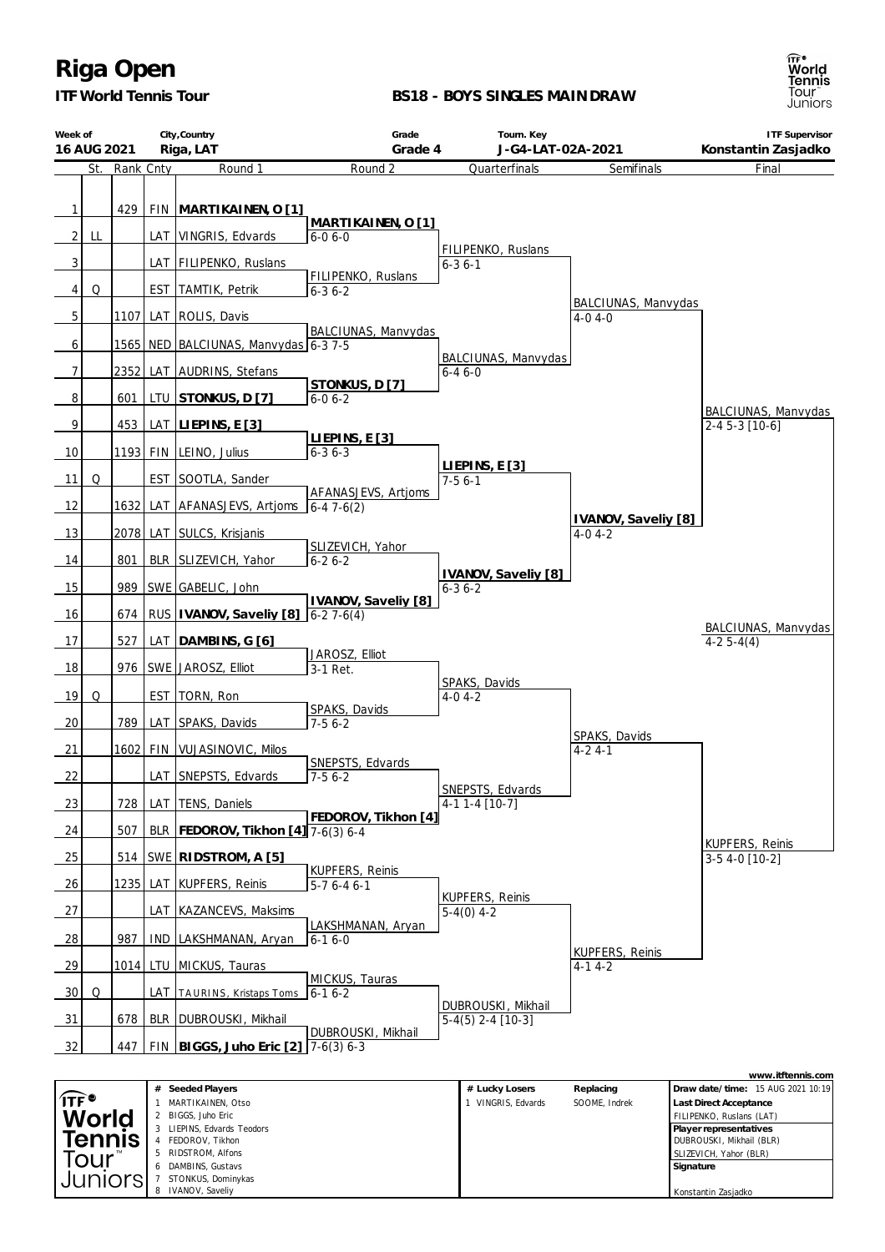

*ITF World Tennis Tour*

#### **BS18 - BOYS SINGLES MAINDRAW**

| Week of                    |     |           |            | City, Country                            | Grade                                              | Tourn. Key                             |                                     | <b>ITF Supervisor</b>                                      |
|----------------------------|-----|-----------|------------|------------------------------------------|----------------------------------------------------|----------------------------------------|-------------------------------------|------------------------------------------------------------|
| 16 AUG 2021                |     |           |            | Riga, LAT                                | Grade 4                                            | J-G4-LAT-02A-2021                      |                                     | Konstantin Zasjadko                                        |
|                            | St. | Rank Cnty |            | Round 1                                  | Round 2                                            | Quarterfinals                          | Semifinals                          | Final                                                      |
|                            |     |           |            |                                          |                                                    |                                        |                                     |                                                            |
| $\mathbf{1}$               |     | 429       |            | FIN MARTIKAINEN, O [1]                   | MARTIKAINEN, O [1]                                 |                                        |                                     |                                                            |
| $2\vert$                   | LL  |           |            | LAT VINGRIS, Edvards                     | $6 - 06 - 0$                                       | FILIPENKO, Ruslans                     |                                     |                                                            |
| 3                          |     |           |            | LAT FILIPENKO, Ruslans                   |                                                    | $6 - 36 - 1$                           |                                     |                                                            |
| $\vert$                    | Q   |           |            | <b>EST TAMTIK, Petrik</b>                | FILIPENKO, Ruslans<br>$6 - 36 - 2$                 |                                        |                                     |                                                            |
| 5                          |     | 1107      |            | LAT ROLIS, Davis                         |                                                    |                                        | BALCIUNAS, Manvydas<br>$4-0.4-0$    |                                                            |
| 6                          |     |           |            | 1565   NED   BALCIUNAS, Manvydas 6-3 7-5 | BALCIUNAS, Manvydas                                |                                        |                                     |                                                            |
| $\overline{7}$             |     | 2352      |            | LAT AUDRINS, Stefans                     |                                                    | BALCIUNAS, Manvydas<br>$6 - 46 - 0$    |                                     |                                                            |
|                            |     |           |            |                                          | STONKUS, D [7]                                     |                                        |                                     |                                                            |
| 8                          |     | 601       |            | LTU STONKUS, D [7]                       | $6 - 06 - 2$                                       |                                        |                                     | BALCIUNAS, Manvydas                                        |
| 9                          |     | 453       |            | $LAT$ LIEPINS, E [3]                     | LIEPINS, E[3]                                      |                                        |                                     | $2-45-3$ [10-6]                                            |
| 10                         |     |           |            | 1193 FIN LEINO, Julius                   | $6 - 36 - 3$                                       |                                        |                                     |                                                            |
| <b>11</b>                  | Q   |           |            | EST SOOTLA, Sander                       |                                                    | LIEPINS, E[3]<br>$7 - 56 - 1$          |                                     |                                                            |
| 12                         |     | 1632      |            | LAT AFANASJEVS, Artjoms                  | AFANASJEVS, Artjoms<br>$6 - 47 - 6(2)$             |                                        |                                     |                                                            |
| 13                         |     | 2078      |            | LAT SULCS, Krisjanis                     |                                                    |                                        | IVANOV, Saveliy [8]<br>$4-0$ 4 $-2$ |                                                            |
| 14                         |     | 801       |            | BLR SLIZEVICH, Yahor                     | SLIZEVICH, Yahor<br>$6 - 26 - 2$                   |                                        |                                     |                                                            |
| 15                         |     | 989       |            | SWE GABELIC, John                        |                                                    | IVANOV, Saveliy [8]<br>$6 - 36 - 2$    |                                     |                                                            |
| 16                         |     | 674       |            | RUS   IVANOV, Saveliy [8]                | IVANOV, Saveliy [8]                                |                                        |                                     |                                                            |
|                            |     |           |            |                                          | $6-27-6(4)$                                        |                                        |                                     | BALCIUNAS, Manvydas                                        |
| 17                         |     | 527       |            | LAT   DAMBINS, G [6]                     | JAROSZ, Elliot                                     |                                        |                                     | $4-25-4(4)$                                                |
| 18                         |     | 976       |            | SWE JAROSZ, Elliot                       | 3-1 Ret.                                           | SPAKS, Davids                          |                                     |                                                            |
| 19                         | Q   |           |            | EST   TORN, Ron                          | SPAKS, Davids                                      | $4-0$ 4 $-2$                           |                                     |                                                            |
| 20                         |     | 789       |            | LAT SPAKS, Davids                        | $7-56-2$                                           |                                        | SPAKS, Davids                       |                                                            |
| 21                         |     |           |            | 1602 FIN VUJASINOVIC, Milos              |                                                    |                                        | $4 - 24 - 1$                        |                                                            |
| 22                         |     |           |            | LAT SNEPSTS, Edvards                     | SNEPSTS, Edvards<br>$7-56-2$                       |                                        |                                     |                                                            |
| 23                         |     | 728       |            | LAT TENS, Daniels                        |                                                    | SNEPSTS, Edvards<br>4-1 1-4 [10-7]     |                                     |                                                            |
| 24                         |     | 507       | <b>BLR</b> | FEDOROV, Tikhon [4] 7-6(3) 6-4           | FEDOROV, Tikhon [4]                                |                                        |                                     |                                                            |
| 25                         |     | 514       |            | SWE RIDSTROM, A [5]                      |                                                    |                                        |                                     | <b>KUPFERS, Reinis</b><br>3-5 4-0 [10-2]                   |
| 26                         |     | 1235      | LAT        | <b>KUPFERS, Reinis</b>                   | <b>KUPFERS, Reinis</b><br>$\overline{5-7}$ 6-4 6-1 |                                        |                                     |                                                            |
| 27                         |     |           | LAT        | KAZANCEVS, Maksims                       |                                                    | <b>KUPFERS, Reinis</b><br>$5-4(0)$ 4-2 |                                     |                                                            |
|                            |     |           |            |                                          | LAKSHMANAN, Aryan                                  |                                        |                                     |                                                            |
| 28                         |     | 987       | <b>IND</b> | LAKSHMANAN, Aryan                        | $6 - 16 - 0$                                       |                                        | <b>KUPFERS, Reinis</b>              |                                                            |
| <u>29</u>                  |     | 1014 LTU  |            | MICKUS, Tauras                           | MICKUS, Tauras                                     |                                        | $4-14-2$                            |                                                            |
| 30                         | Q   |           |            | LAT TAURINS, Kristaps Toms               | $6 - 16 - 2$                                       | DUBROUSKI, Mikhail                     |                                     |                                                            |
| 31                         |     | 678       | <b>BLR</b> | DUBROUSKI, Mikhail                       | DUBROUSKI, Mikhail                                 | $5-4(5)$ 2-4 [10-3]                    |                                     |                                                            |
| 32                         |     | 447       |            | FIN BIGGS, Juho Eric [2]                 | $7-6(3)$ 6-3                                       |                                        |                                     |                                                            |
|                            |     |           |            |                                          |                                                    |                                        |                                     | www.itftennis.com                                          |
| $^{\prime}$ ITF $^{\circ}$ |     |           |            | # Seeded Players<br>MARTIKAINEN Otso     |                                                    | # Lucky Losers<br>VINGRIS Eduards      | Replacing<br>SOOME Indrok           | Draw date/time: 15 AUG 2021 10:19<br>ast Direct Accentance |

|                  | Seeded Players<br>#      | # Lucky Losers   | Replacing     | Draw date/time: 15 AUG 2021 10:19 |
|------------------|--------------------------|------------------|---------------|-----------------------------------|
| $\widehat{IF}^*$ | MARTIKAINEN, Otso        | VINGRIS, Edvards | SOOME. Indrek | <b>Last Direct Acceptance</b>     |
| World            | 2 BIGGS, Juho Eric       |                  |               | FILIPENKO, Ruslans (LAT)          |
|                  | LIEPINS. Edvards Teodors |                  |               | Player representatives            |
| <b>Tennis</b>    | FEDOROV. Tikhon          |                  |               | DUBROUSKI, Mikhail (BLR)          |
| Tour™            | 5 RIDSTROM, Alfons       |                  |               | SLIZEVICH, Yahor (BLR)            |
|                  | 6 DAMBINS, Gustavs       |                  |               | Signature                         |
| Juniorsi         | STONKUS, Dominykas       |                  |               |                                   |
|                  | 8 IVANOV, Saveliy        |                  |               | Konstantin Zasjadko               |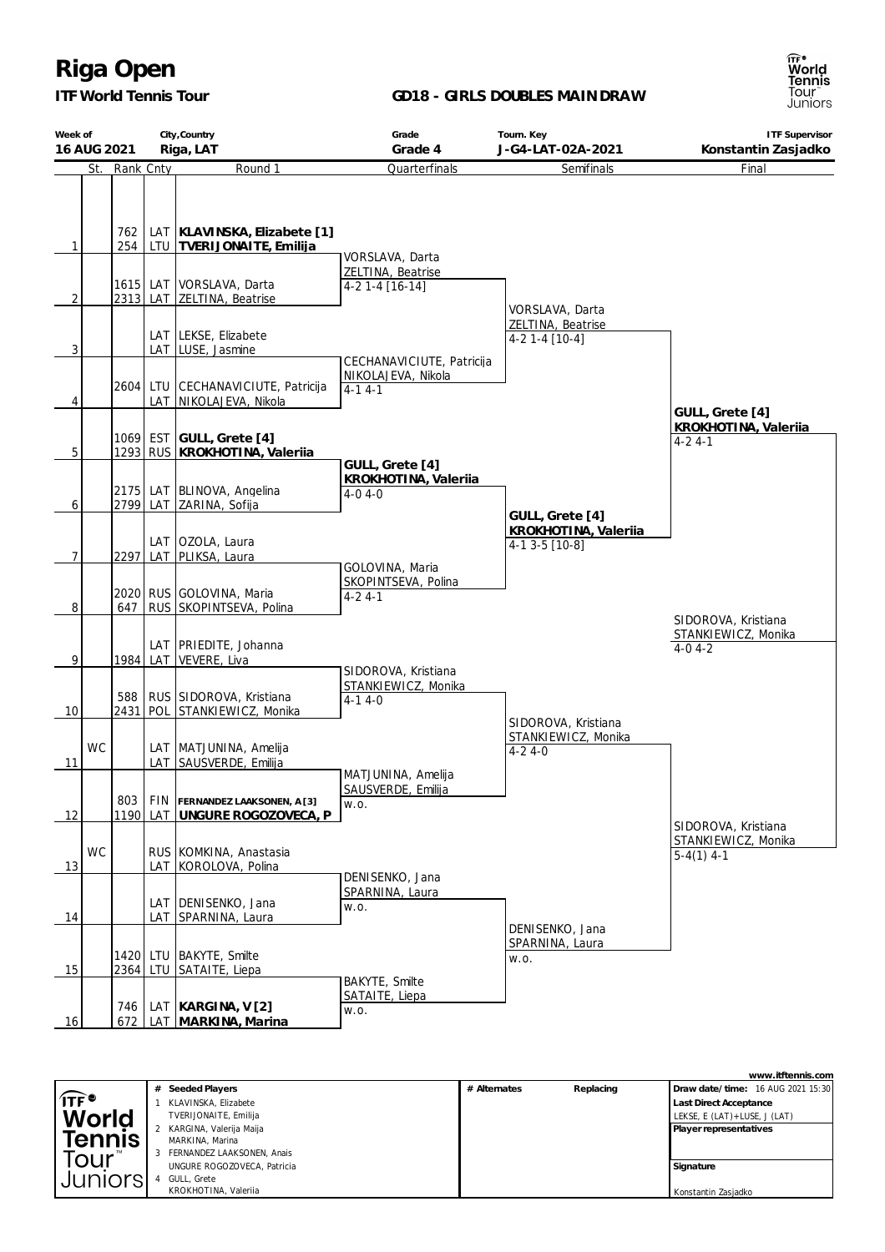*ITF World Tennis Tour*

#### **GD18 - GIRLS DOUBLES MAINDRAW**



|                                 | # | Seeded Players              | # Alternates | Replacing | Draw date/time: 16 AUG 2021 15:30 |
|---------------------------------|---|-----------------------------|--------------|-----------|-----------------------------------|
| $\widehat{\mathsf{IF}}^\bullet$ |   | KLAVINSKA, Elizabete        |              |           | Last Direct Acceptance            |
| World                           |   | TVERIJONAITE, Emilija       |              |           | LEKSE, E (LAT) + LUSE, J (LAT)    |
|                                 |   | KARGINA, Valerija Maija     |              |           | Player representatives            |
| <b>Tennis</b>                   |   | MARKINA, Marina             |              |           |                                   |
| our                             |   | FERNANDEZ LAAKSONEN, Anais  |              |           |                                   |
|                                 |   | UNGURE ROGOZOVECA, Patricia |              |           | Signature                         |
| Juniorsi                        |   | GULL, Grete                 |              |           |                                   |
|                                 |   | KROKHOTINA, Valerija        |              |           | Konstantin Zasjadko               |



**www.itftennis.com**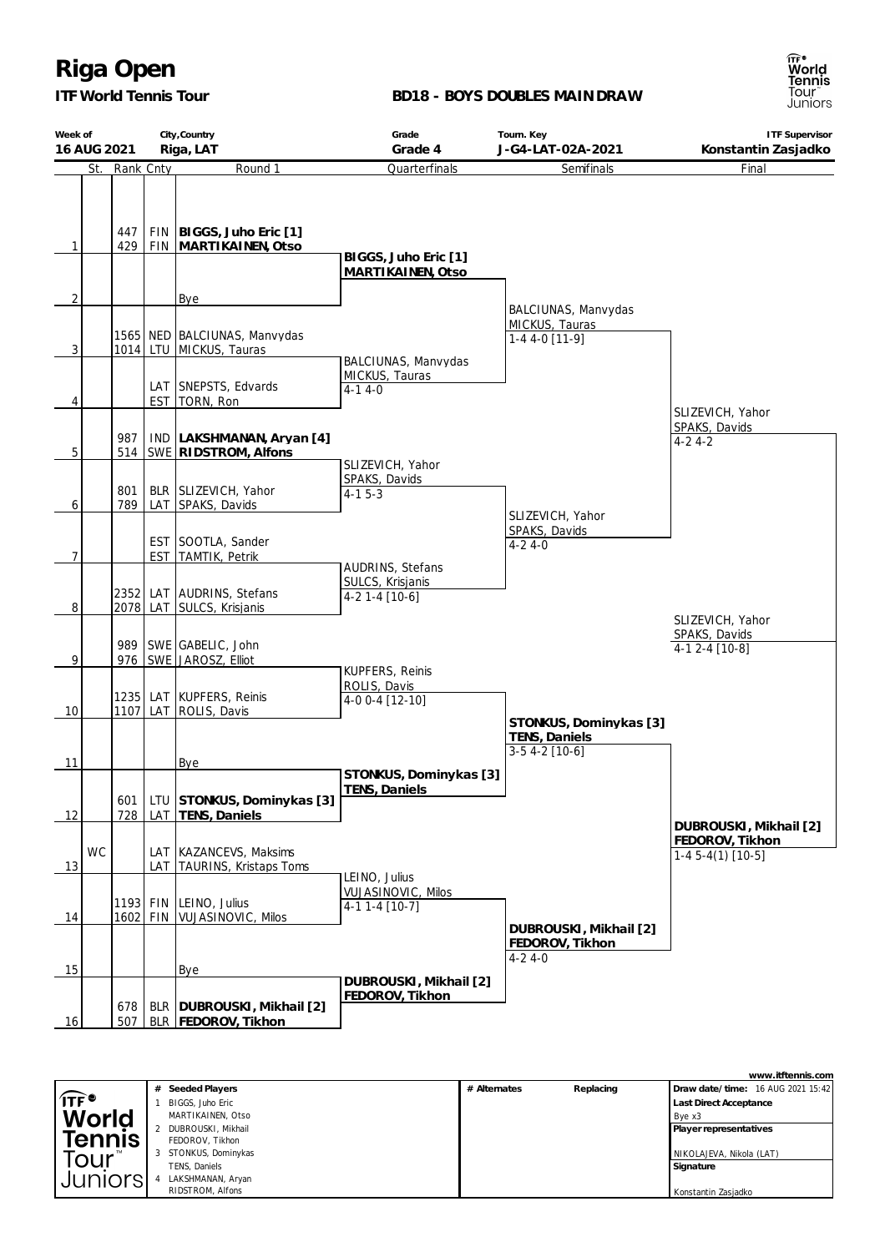*ITF World Tennis Tour*

#### **BD18 - BOYS DOUBLES MAINDRAW**



|                | City, Country<br>Week of<br>Riga, LAT<br>16 AUG 2021 |               |  | Grade<br>Grade 4                                            | Tourn. Key<br>J-G4-LAT-02A-2021           | <b>ITF Supervisor</b><br>Konstantin Zasjadko              |                                               |
|----------------|------------------------------------------------------|---------------|--|-------------------------------------------------------------|-------------------------------------------|-----------------------------------------------------------|-----------------------------------------------|
|                |                                                      | St. Rank Cnty |  | Round 1                                                     | Quarterfinals                             | Semifinals                                                | Final                                         |
| 1              |                                                      | 447<br>429    |  | FIN   BIGGS, Juho Eric [1]<br>FIN   MARTIKAINEN, Otso       | BIGGS, Juho Eric [1]<br>MARTIKAINEN, Otso |                                                           |                                               |
| $\overline{2}$ |                                                      |               |  | <b>Bye</b>                                                  |                                           |                                                           |                                               |
| 3              |                                                      |               |  | 1565   NED   BALCIUNAS, Manvydas<br>1014 LTU MICKUS, Tauras | BALCIUNAS, Manvydas                       | BALCIUNAS, Manvydas<br>MICKUS, Tauras<br>$1-44-0$ [11-9]  |                                               |
|                |                                                      |               |  | LAT SNEPSTS, Edvards                                        | MICKUS, Tauras<br>$4-14-0$                |                                                           |                                               |
| 4              |                                                      |               |  | EST   TORN, Ron                                             |                                           |                                                           |                                               |
| 5              |                                                      | 987           |  | IND LAKSHMANAN, Aryan [4]<br>514   SWE   RIDSTROM, Alfons   |                                           |                                                           | SLIZEVICH, Yahor<br>SPAKS, Davids<br>$4-24-2$ |
|                |                                                      |               |  |                                                             | SLIZEVICH, Yahor<br>SPAKS, Davids         |                                                           |                                               |
|                |                                                      | 801           |  | BLR SLIZEVICH, Yahor                                        | $4-15-3$                                  |                                                           |                                               |
| 6              |                                                      | 789           |  | LAT SPAKS, Davids                                           |                                           | SLIZEVICH, Yahor                                          |                                               |
|                |                                                      |               |  |                                                             |                                           | SPAKS, Davids                                             |                                               |
|                |                                                      |               |  | EST SOOTLA, Sander                                          |                                           | $4 - 24 - 0$                                              |                                               |
| $\overline{7}$ |                                                      |               |  | EST TAMTIK, Petrik                                          | AUDRINS, Stefans                          |                                                           |                                               |
|                |                                                      |               |  |                                                             | SULCS, Krisjanis                          |                                                           |                                               |
| 8              |                                                      |               |  | 2352 LAT AUDRINS, Stefans<br>2078   LAT SULCS, Krisjanis    | $4-2$ 1-4 [10-6]                          |                                                           |                                               |
|                |                                                      |               |  |                                                             |                                           |                                                           | SLIZEVICH, Yahor                              |
|                |                                                      |               |  | 989   SWE   GABELIC, John                                   |                                           |                                                           | SPAKS, Davids                                 |
| 9              |                                                      |               |  | 976 SWE JAROSZ, Elliot                                      |                                           |                                                           | $4-12-4$ [10-8]                               |
|                |                                                      |               |  |                                                             | KUPFERS, Reinis<br>ROLIS, Davis           |                                                           |                                               |
|                |                                                      |               |  | 1235 LAT KUPFERS, Reinis                                    | 4-0 0-4 [12-10]                           |                                                           |                                               |
| 10             |                                                      | 1107          |  | LAT ROLIS, Davis                                            |                                           | STONKUS, Dominykas [3]                                    |                                               |
|                |                                                      |               |  |                                                             |                                           | TENS, Daniels                                             |                                               |
|                |                                                      |               |  |                                                             |                                           | $3-5$ 4-2 [10-6]                                          |                                               |
| 11             |                                                      |               |  | Bye                                                         | STONKUS, Dominykas [3]                    |                                                           |                                               |
|                |                                                      |               |  |                                                             | TENS, Daniels                             |                                                           |                                               |
| 12             |                                                      | 601<br>728    |  | LTU STONKUS, Dominykas [3]<br>LAT   TENS, Daniels           |                                           |                                                           |                                               |
|                |                                                      |               |  |                                                             |                                           |                                                           | DUBROUSKI, Mikhail [2]                        |
|                | <b>WC</b>                                            |               |  | LAT   KAZANCEVS, Maksims                                    |                                           |                                                           | FEDOROV, Tikhon                               |
| 13             |                                                      |               |  | LAT TAURINS, Kristaps Toms                                  |                                           |                                                           | $1-45-4(1)$ [10-5]                            |
|                |                                                      |               |  |                                                             | LEINO, Julius                             |                                                           |                                               |
|                |                                                      |               |  | 1193 FIN LEINO, Julius                                      | VUJASINOVIC, Milos<br>$4-11-4$ [10-7]     |                                                           |                                               |
| 14             |                                                      |               |  | 1602 FIN VUJASINOVIC, Milos                                 |                                           |                                                           |                                               |
|                |                                                      |               |  |                                                             |                                           | DUBROUSKI, Mikhail [2]<br>FEDOROV, Tikhon<br>$4 - 24 - 0$ |                                               |
| 15             |                                                      |               |  | Bye                                                         | DUBROUSKI, Mikhail [2]                    |                                                           |                                               |
| 16             |                                                      | 678<br>507    |  | BLR   DUBROUSKI, Mikhail [2]<br>BLR   FEDOROV, Tikhon       | FEDOROV, Tikhon                           |                                                           |                                               |

|                            |   |                    |              |           | www.itftennis.com                 |
|----------------------------|---|--------------------|--------------|-----------|-----------------------------------|
|                            | # | Seeded Players     | # Alternates | Replacing | Draw date/time: 16 AUG 2021 15:42 |
| $\widehat{\mathsf{ITF}}$ ి |   | BIGGS, Juho Eric   |              |           | <b>Last Direct Acceptance</b>     |
| <b>World</b>               |   | MARTIKAINEN, Otso  |              |           | Bye x3                            |
|                            |   | DUBROUSKI, Mikhail |              |           | Player representatives            |
| <b>Tennis</b>              |   | FEDOROV, Tikhon    |              |           |                                   |
| rour <sup>®</sup>          | 3 | STONKUS, Dominykas |              |           | NIKOLAJEVA, Nikola (LAT)          |
|                            |   | TENS. Daniels      |              |           | Signature                         |
| Juniors                    |   | LAKSHMANAN, Aryan  |              |           |                                   |
|                            |   | RIDSTROM, Alfons   |              |           | Konstantin Zasjadko               |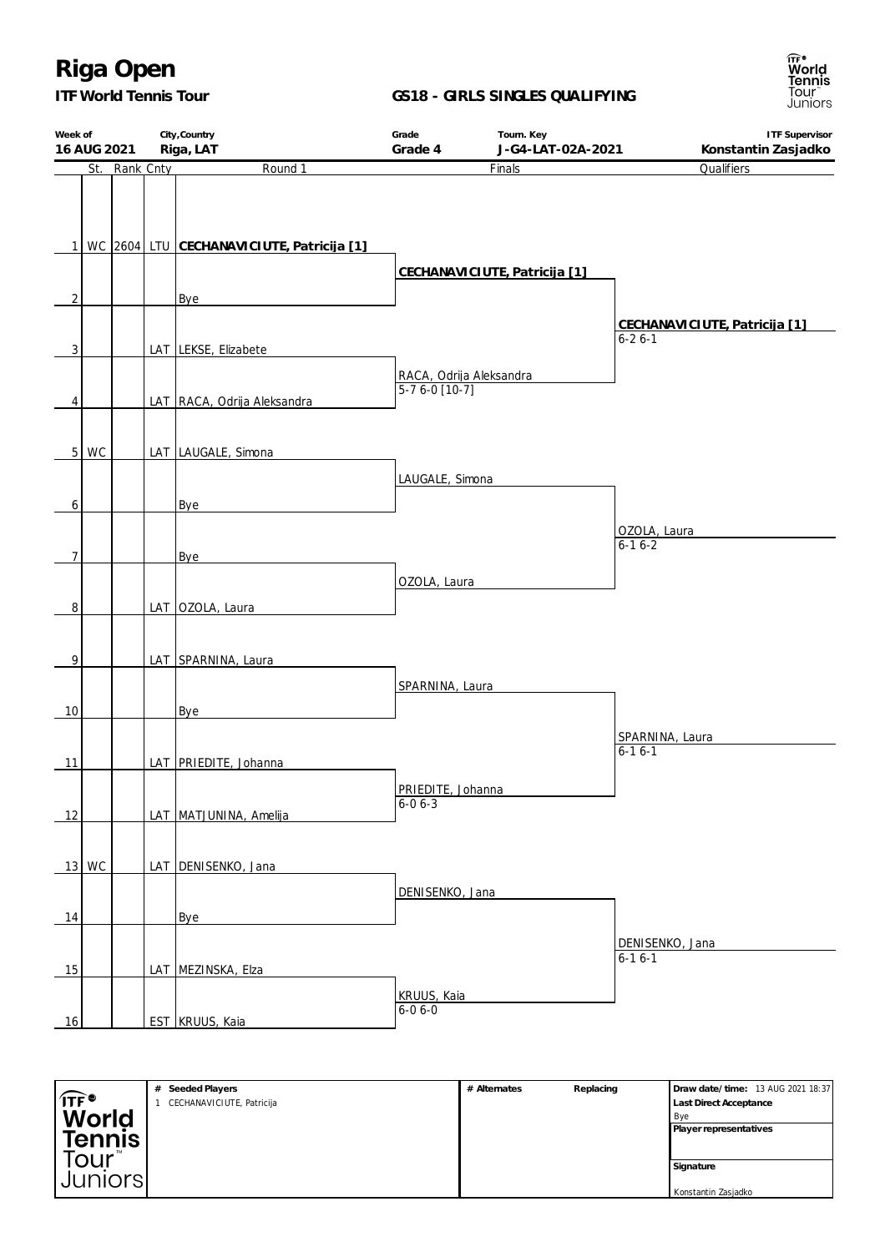### *ITF World Tennis Tour*

**GS18 - GIRLS SINGLES QUALIFYING**



| Week of<br>16 AUG 2021 |           | City, Country<br>Riga, LAT                         | Grade<br>Grade 4                           | Tourn. Key<br>J-G4-LAT-02A-2021 | <b>ITF Supervisor</b><br>Konstantin Zasjadko  |
|------------------------|-----------|----------------------------------------------------|--------------------------------------------|---------------------------------|-----------------------------------------------|
| St.                    | Rank Cnty | Round 1                                            |                                            | Finals                          | Qualifiers                                    |
| $\overline{2}$         |           | 1 WC 2604 LTU CECHANAVICIUTE, Patricija [1]<br>Bye |                                            | CECHANAVICIUTE, Patricija [1]   |                                               |
| 3                      |           | LAT LEKSE, Elizabete                               |                                            |                                 | CECHANAVICIUTE, Patricija [1]<br>$6 - 26 - 1$ |
| 4                      |           | LAT RACA, Odrija Aleksandra                        | RACA, Odrija Aleksandra<br>$5-76-0$ [10-7] |                                 |                                               |
| 5<br>WC                |           | LAT LAUGALE, Simona                                |                                            |                                 |                                               |
| 6                      |           | Bye                                                | LAUGALE, Simona                            |                                 |                                               |
| 7                      |           | <b>Bye</b>                                         |                                            |                                 | OZOLA, Laura<br>$6-16-2$                      |
| 8                      |           | LAT OZOLA, Laura                                   | OZOLA, Laura                               |                                 |                                               |
| 9                      |           | LAT SPARNINA, Laura                                |                                            |                                 |                                               |
| 10                     |           | Bye                                                | SPARNINA, Laura                            |                                 |                                               |
| 11                     |           | LAT PRIEDITE, Johanna                              |                                            |                                 | SPARNINA, Laura<br>$6 - 16 - 1$               |
| 12                     |           | LAT MATJUNINA, Amelija                             | PRIEDITE, Johanna<br>$6 - 06 - 3$          |                                 |                                               |
| 13 WC                  |           | LAT DENISENKO, Jana                                | DENISENKO, Jana                            |                                 |                                               |
| 14                     |           | Bye                                                |                                            |                                 |                                               |
| 15                     |           | LAT MEZINSKA, Elza                                 |                                            |                                 | DENISENKO, Jana<br>$6 - 16 - 1$               |
| 16                     |           | <b>EST</b> KRUUS, Kaia                             | KRUUS, Kaia<br>$6 - 06 - 0$                |                                 |                                               |